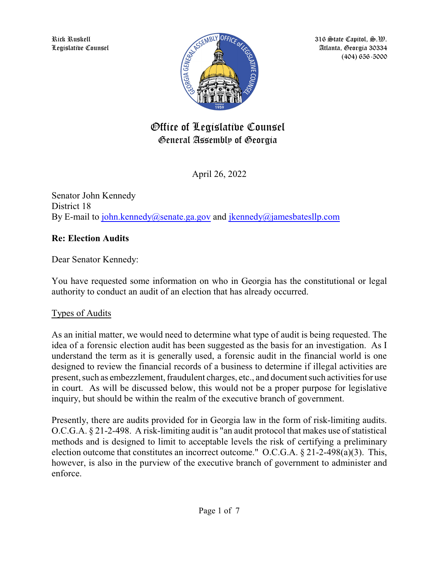Rick Ruskell Legislative Counsel



316  $\bigcirc$ tate Capitol,  $\bigcircledast$ . $\mathfrak{W}$ . Atlanta, Georgia 30334 (404) 656-5000

# Office of Legislative Counsel General Assembly of Georgia

April 26, 2022

Senator John Kennedy District 18 By E-mail to john.kennedy@senate.ga.gov and jkennedy@jamesbatesllp.com

## **Re: Election Audits**

Dear Senator Kennedy:

You have requested some information on who in Georgia has the constitutional or legal authority to conduct an audit of an election that has already occurred.

## Types of Audits

As an initial matter, we would need to determine what type of audit is being requested. The idea of a forensic election audit has been suggested as the basis for an investigation. As I understand the term as it is generally used, a forensic audit in the financial world is one designed to review the financial records of a business to determine if illegal activities are present, such as embezzlement, fraudulent charges, etc., and document such activities for use in court. As will be discussed below, this would not be a proper purpose for legislative inquiry, but should be within the realm of the executive branch of government.

Presently, there are audits provided for in Georgia law in the form of risk-limiting audits. O.C.G.A. § 21-2-498. A risk-limiting audit is "an audit protocol that makes use of statistical methods and is designed to limit to acceptable levels the risk of certifying a preliminary election outcome that constitutes an incorrect outcome." O.C.G.A. § 21-2-498(a)(3). This, however, is also in the purview of the executive branch of government to administer and enforce.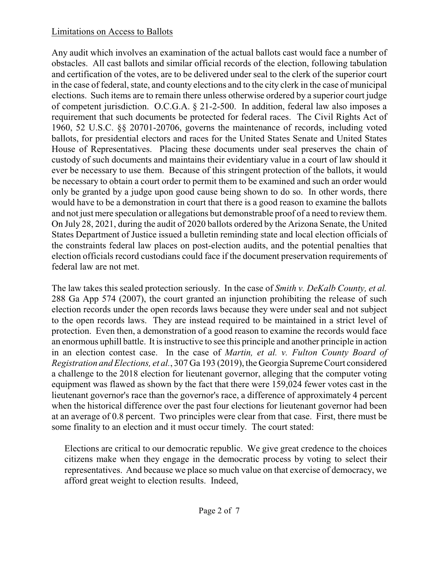## Limitations on Access to Ballots

Any audit which involves an examination of the actual ballots cast would face a number of obstacles. All cast ballots and similar official records of the election, following tabulation and certification of the votes, are to be delivered under seal to the clerk of the superior court in the case of federal, state, and county elections and to the city clerk in the case of municipal elections. Such items are to remain there unless otherwise ordered by a superior court judge of competent jurisdiction. O.C.G.A. § 21-2-500. In addition, federal law also imposes a requirement that such documents be protected for federal races. The Civil Rights Act of 1960, 52 U.S.C. §§ 20701-20706, governs the maintenance of records, including voted ballots, for presidential electors and races for the United States Senate and United States House of Representatives. Placing these documents under seal preserves the chain of custody of such documents and maintains their evidentiary value in a court of law should it ever be necessary to use them. Because of this stringent protection of the ballots, it would be necessary to obtain a court order to permit them to be examined and such an order would only be granted by a judge upon good cause being shown to do so. In other words, there would have to be a demonstration in court that there is a good reason to examine the ballots and not just mere speculation or allegations but demonstrable proof of a need to review them. On July 28, 2021, during the audit of 2020 ballots ordered by the Arizona Senate, the United States Department of Justice issued a bulletin reminding state and local election officials of the constraints federal law places on post-election audits, and the potential penalties that election officials record custodians could face if the document preservation requirements of federal law are not met.

The law takes this sealed protection seriously. In the case of *Smith v. DeKalb County, et al.* 288 Ga App 574 (2007), the court granted an injunction prohibiting the release of such election records under the open records laws because they were under seal and not subject to the open records laws. They are instead required to be maintained in a strict level of protection. Even then, a demonstration of a good reason to examine the records would face an enormous uphill battle. It is instructive to see this principle and another principle in action in an election contest case. In the case of *Martin, et al. v. Fulton County Board of Registration and Elections, et al., 307 Ga 193 (2019), the Georgia Supreme Court considered* a challenge to the 2018 election for lieutenant governor, alleging that the computer voting equipment was flawed as shown by the fact that there were 159,024 fewer votes cast in the lieutenant governor's race than the governor's race, a difference of approximately 4 percent when the historical difference over the past four elections for lieutenant governor had been at an average of 0.8 percent. Two principles were clear from that case. First, there must be some finality to an election and it must occur timely. The court stated:

Elections are critical to our democratic republic. We give great credence to the choices citizens make when they engage in the democratic process by voting to select their representatives. And because we place so much value on that exercise of democracy, we afford great weight to election results. Indeed,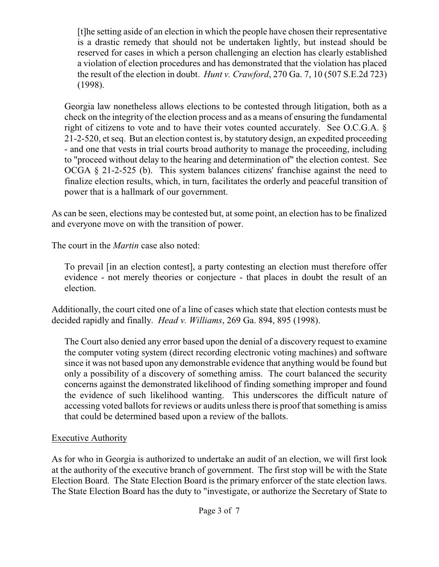[t]he setting aside of an election in which the people have chosen their representative is a drastic remedy that should not be undertaken lightly, but instead should be reserved for cases in which a person challenging an election has clearly established a violation of election procedures and has demonstrated that the violation has placed the result of the election in doubt. *Hunt v. Crawford*, 270 Ga. 7, 10 (507 S.E.2d 723) (1998).

Georgia law nonetheless allows elections to be contested through litigation, both as a check on the integrity of the election process and as a means of ensuring the fundamental right of citizens to vote and to have their votes counted accurately. See O.C.G.A. § 21-2-520, et seq. But an election contest is, by statutory design, an expedited proceeding - and one that vests in trial courts broad authority to manage the proceeding, including to "proceed without delay to the hearing and determination of" the election contest. See OCGA § 21-2-525 (b). This system balances citizens' franchise against the need to finalize election results, which, in turn, facilitates the orderly and peaceful transition of power that is a hallmark of our government.

As can be seen, elections may be contested but, at some point, an election has to be finalized and everyone move on with the transition of power.

The court in the *Martin* case also noted:

To prevail [in an election contest], a party contesting an election must therefore offer evidence - not merely theories or conjecture - that places in doubt the result of an election.

Additionally, the court cited one of a line of cases which state that election contests must be decided rapidly and finally. *Head v. Williams*, 269 Ga. 894, 895 (1998).

The Court also denied any error based upon the denial of a discovery request to examine the computer voting system (direct recording electronic voting machines) and software since it was not based upon any demonstrable evidence that anything would be found but only a possibility of a discovery of something amiss. The court balanced the security concerns against the demonstrated likelihood of finding something improper and found the evidence of such likelihood wanting. This underscores the difficult nature of accessing voted ballots for reviews or audits unless there is proof that something is amiss that could be determined based upon a review of the ballots.

## Executive Authority

As for who in Georgia is authorized to undertake an audit of an election, we will first look at the authority of the executive branch of government. The first stop will be with the State Election Board. The State Election Board is the primary enforcer of the state election laws. The State Election Board has the duty to "investigate, or authorize the Secretary of State to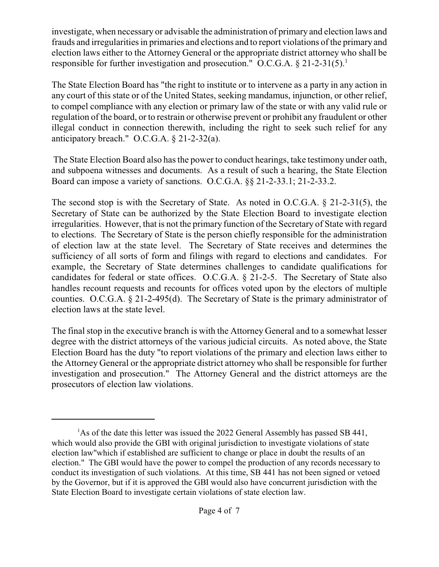investigate, when necessary or advisable the administration of primary and election laws and frauds and irregularities in primaries and elections and to report violations of the primary and election laws either to the Attorney General or the appropriate district attorney who shall be responsible for further investigation and prosecution." O.C.G.A.  $\S 21-2-31(5)$ .<sup>1</sup>

The State Election Board has "the right to institute or to intervene as a party in any action in any court of this state or of the United States, seeking mandamus, injunction, or other relief, to compel compliance with any election or primary law of the state or with any valid rule or regulation of the board, or to restrain or otherwise prevent or prohibit any fraudulent or other illegal conduct in connection therewith, including the right to seek such relief for any anticipatory breach." O.C.G.A. § 21-2-32(a).

The State Election Board also has the power to conduct hearings, take testimony under oath, and subpoena witnesses and documents. As a result of such a hearing, the State Election Board can impose a variety of sanctions. O.C.G.A. §§ 21-2-33.1; 21-2-33.2.

The second stop is with the Secretary of State. As noted in O.C.G.A. § 21-2-31(5), the Secretary of State can be authorized by the State Election Board to investigate election irregularities. However, that is not the primary function of the Secretary of State with regard to elections. The Secretary of State is the person chiefly responsible for the administration of election law at the state level. The Secretary of State receives and determines the sufficiency of all sorts of form and filings with regard to elections and candidates. For example, the Secretary of State determines challenges to candidate qualifications for candidates for federal or state offices. O.C.G.A. § 21-2-5. The Secretary of State also handles recount requests and recounts for offices voted upon by the electors of multiple counties. O.C.G.A. § 21-2-495(d). The Secretary of State is the primary administrator of election laws at the state level.

The final stop in the executive branch is with the Attorney General and to a somewhat lesser degree with the district attorneys of the various judicial circuits. As noted above, the State Election Board has the duty "to report violations of the primary and election laws either to the Attorney General or the appropriate district attorney who shall be responsible for further investigation and prosecution." The Attorney General and the district attorneys are the prosecutors of election law violations.

<sup>&</sup>lt;sup>1</sup>As of the date this letter was issued the 2022 General Assembly has passed SB 441, which would also provide the GBI with original jurisdiction to investigate violations of state election law"which if established are sufficient to change or place in doubt the results of an election." The GBI would have the power to compel the production of any records necessary to conduct its investigation of such violations. At this time, SB 441 has not been signed or vetoed by the Governor, but if it is approved the GBI would also have concurrent jurisdiction with the State Election Board to investigate certain violations of state election law.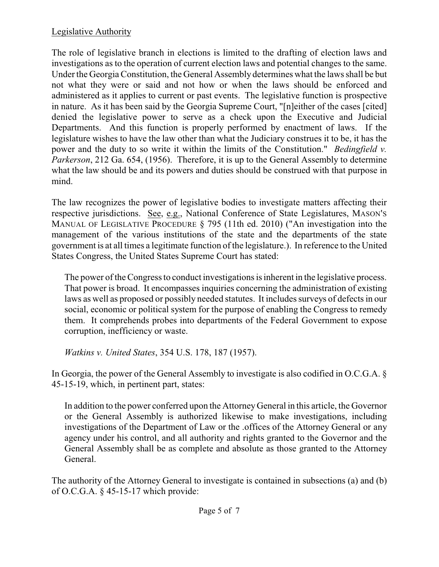## Legislative Authority

The role of legislative branch in elections is limited to the drafting of election laws and investigations as to the operation of current election laws and potential changes to the same. Under the Georgia Constitution, the General Assembly determines what the laws shall be but not what they were or said and not how or when the laws should be enforced and administered as it applies to current or past events. The legislative function is prospective in nature. As it has been said by the Georgia Supreme Court, "[n]either of the cases [cited] denied the legislative power to serve as a check upon the Executive and Judicial Departments. And this function is properly performed by enactment of laws. If the legislature wishes to have the law other than what the Judiciary construes it to be, it has the power and the duty to so write it within the limits of the Constitution." *Bedingfield v. Parkerson*, 212 Ga. 654, (1956). Therefore, it is up to the General Assembly to determine what the law should be and its powers and duties should be construed with that purpose in mind.

The law recognizes the power of legislative bodies to investigate matters affecting their respective jurisdictions. See, e.g., National Conference of State Legislatures, MASON'S MANUAL OF LEGISLATIVE PROCEDURE § 795 (11th ed. 2010) ("An investigation into the management of the various institutions of the state and the departments of the state government is at all times a legitimate function of the legislature.). In reference to the United States Congress, the United States Supreme Court has stated:

The power of the Congress to conduct investigations is inherent in the legislative process. That power is broad. It encompasses inquiries concerning the administration of existing laws as well as proposed or possibly needed statutes. It includes surveys of defects in our social, economic or political system for the purpose of enabling the Congress to remedy them. It comprehends probes into departments of the Federal Government to expose corruption, inefficiency or waste.

*Watkins v. United States*, 354 U.S. 178, 187 (1957).

In Georgia, the power of the General Assembly to investigate is also codified in O.C.G.A. § 45-15-19, which, in pertinent part, states:

In addition to the power conferred upon the AttorneyGeneral in this article, the Governor or the General Assembly is authorized likewise to make investigations, including investigations of the Department of Law or the .offices of the Attorney General or any agency under his control, and all authority and rights granted to the Governor and the General Assembly shall be as complete and absolute as those granted to the Attorney General.

The authority of the Attorney General to investigate is contained in subsections (a) and (b) of O.C.G.A.  $\S$  45-15-17 which provide: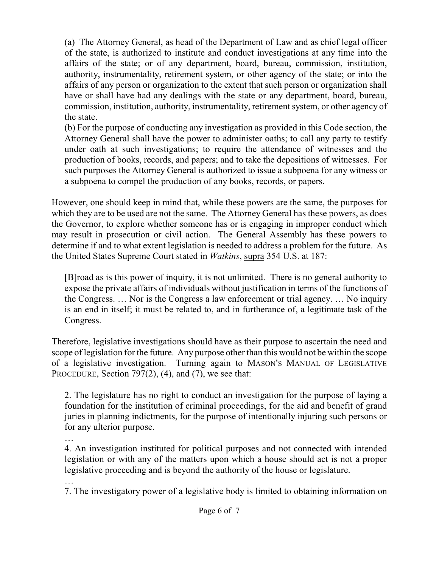(a) The Attorney General, as head of the Department of Law and as chief legal officer of the state, is authorized to institute and conduct investigations at any time into the affairs of the state; or of any department, board, bureau, commission, institution, authority, instrumentality, retirement system, or other agency of the state; or into the affairs of any person or organization to the extent that such person or organization shall have or shall have had any dealings with the state or any department, board, bureau, commission, institution, authority, instrumentality, retirement system, or other agency of the state.

(b) For the purpose of conducting any investigation as provided in this Code section, the Attorney General shall have the power to administer oaths; to call any party to testify under oath at such investigations; to require the attendance of witnesses and the production of books, records, and papers; and to take the depositions of witnesses. For such purposes the Attorney General is authorized to issue a subpoena for any witness or a subpoena to compel the production of any books, records, or papers.

However, one should keep in mind that, while these powers are the same, the purposes for which they are to be used are not the same. The Attorney General has these powers, as does the Governor, to explore whether someone has or is engaging in improper conduct which may result in prosecution or civil action. The General Assembly has these powers to determine if and to what extent legislation is needed to address a problem for the future. As the United States Supreme Court stated in *Watkins*, supra 354 U.S. at 187:

[B]road as is this power of inquiry, it is not unlimited. There is no general authority to expose the private affairs of individuals without justification in terms of the functions of the Congress. … Nor is the Congress a law enforcement or trial agency. … No inquiry is an end in itself; it must be related to, and in furtherance of, a legitimate task of the Congress.

Therefore, legislative investigations should have as their purpose to ascertain the need and scope of legislation for the future. Any purpose other than this would not be within the scope of a legislative investigation. Turning again to MASON'S MANUAL OF LEGISLATIVE PROCEDURE, Section  $797(2)$ ,  $(4)$ , and  $(7)$ , we see that:

2. The legislature has no right to conduct an investigation for the purpose of laying a foundation for the institution of criminal proceedings, for the aid and benefit of grand juries in planning indictments, for the purpose of intentionally injuring such persons or for any ulterior purpose.

…

4. An investigation instituted for political purposes and not connected with intended legislation or with any of the matters upon which a house should act is not a proper legislative proceeding and is beyond the authority of the house or legislature.

…

7. The investigatory power of a legislative body is limited to obtaining information on